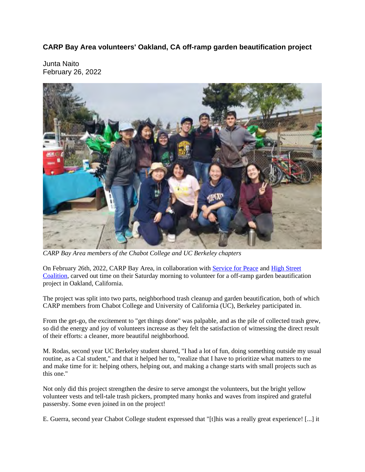**CARP Bay Area volunteers' Oakland, CA off-ramp garden beautification project**

Junta Naito February 26, 2022



*CARP Bay Area members of the Chabot College and UC Berkeley chapters*

On February 26th, 2022, CARP Bay Area, in collaboration with Service for Peace and High Street Coalition, carved out time on their Saturday morning to volunteer for a off-ramp garden beautification project in Oakland, California.

The project was split into two parts, neighborhood trash cleanup and garden beautification, both of which CARP members from Chabot College and University of California (UC), Berkeley participated in.

From the get-go, the excitement to "get things done" was palpable, and as the pile of collected trash grew, so did the energy and joy of volunteers increase as they felt the satisfaction of witnessing the direct result of their efforts: a cleaner, more beautiful neighborhood.

M. Rodas, second year UC Berkeley student shared, "I had a lot of fun, doing something outside my usual routine, as a Cal student," and that it helped her to, "realize that I have to prioritize what matters to me and make time for it: helping others, helping out, and making a change starts with small projects such as this one."

Not only did this project strengthen the desire to serve amongst the volunteers, but the bright yellow volunteer vests and tell-tale trash pickers, prompted many honks and waves from inspired and grateful passersby. Some even joined in on the project!

E. Guerra, second year Chabot College student expressed that "[t]his was a really great experience! [...] it